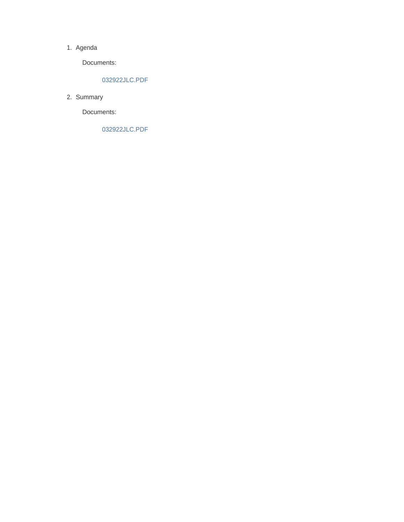#### 1. Agenda

Documents:

#### 032922JLC.PDF

2. Summary

Documents:

032922JLC.PDF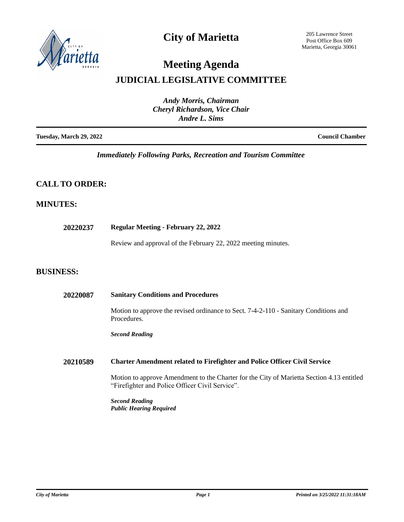

## **City of Marietta**

205 Lawrence Street Post Office Box 609 Marietta, Georgia 30061

# **Meeting Agenda**

## **JUDICIAL LEGISLATIVE COMMITTEE**

| <b>Andy Morris, Chairman</b><br><b>Cheryl Richardson, Vice Chair</b><br>Andre L. Sims |                        |
|---------------------------------------------------------------------------------------|------------------------|
| <b>Tuesday, March 29, 2022</b>                                                        | <b>Council Chamber</b> |

*Immediately Following Parks, Recreation and Tourism Committee*

### **CALL TO ORDER:**

### **MINUTES:**

| 20220237         | <b>Regular Meeting - February 22, 2022</b>                                                                                                   |
|------------------|----------------------------------------------------------------------------------------------------------------------------------------------|
|                  | Review and approval of the February 22, 2022 meeting minutes.                                                                                |
| <b>BUSINESS:</b> |                                                                                                                                              |
| 20220087         | <b>Sanitary Conditions and Procedures</b>                                                                                                    |
|                  | Motion to approve the revised ordinance to Sect. 7-4-2-110 - Sanitary Conditions and<br>Procedures.                                          |
|                  | <b>Second Reading</b>                                                                                                                        |
| 20210589         | <b>Charter Amendment related to Firefighter and Police Officer Civil Service</b>                                                             |
|                  | Motion to approve Amendment to the Charter for the City of Marietta Section 4.13 entitled<br>"Firefighter and Police Officer Civil Service". |
|                  | <b>Second Reading</b><br><b>Public Hearing Required</b>                                                                                      |
|                  |                                                                                                                                              |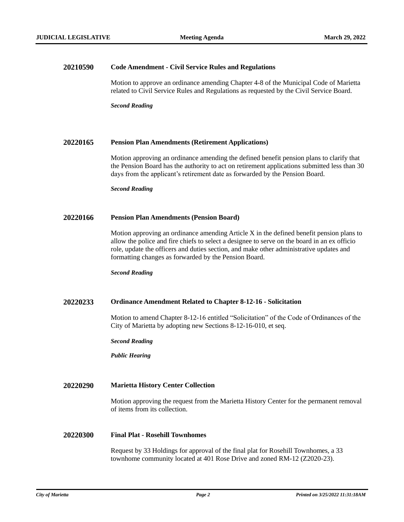**COMMITTEE** 

#### **20210590 Code Amendment - Civil Service Rules and Regulations**

Motion to approve an ordinance amending Chapter 4-8 of the Municipal Code of Marietta related to Civil Service Rules and Regulations as requested by the Civil Service Board.

*Second Reading*

#### **20220165 Pension Plan Amendments (Retirement Applications)**

Motion approving an ordinance amending the defined benefit pension plans to clarify that the Pension Board has the authority to act on retirement applications submitted less than 30 days from the applicant's retirement date as forwarded by the Pension Board.

*Second Reading*

#### **20220166 Pension Plan Amendments (Pension Board)**

Motion approving an ordinance amending Article X in the defined benefit pension plans to allow the police and fire chiefs to select a designee to serve on the board in an ex officio role, update the officers and duties section, and make other administrative updates and formatting changes as forwarded by the Pension Board.

*Second Reading*

#### **20220233 Ordinance Amendment Related to Chapter 8-12-16 - Solicitation**

Motion to amend Chapter 8-12-16 entitled "Solicitation" of the Code of Ordinances of the City of Marietta by adopting new Sections 8-12-16-010, et seq.

*Second Reading*

*Public Hearing*

#### **20220290 Marietta History Center Collection**

Motion approving the request from the Marietta History Center for the permanent removal of items from its collection.

#### **20220300 Final Plat - Rosehill Townhomes**

Request by 33 Holdings for approval of the final plat for Rosehill Townhomes, a 33 townhome community located at 401 Rose Drive and zoned RM-12 (Z2020-23).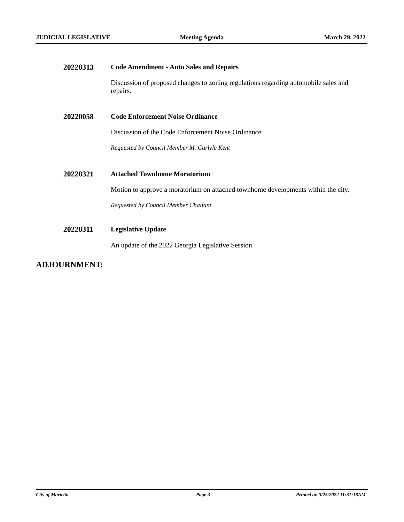**COMMITTEE** 

| 20220313 | <b>Code Amendment - Auto Sales and Repairs</b>                                                  |
|----------|-------------------------------------------------------------------------------------------------|
|          | Discussion of proposed changes to zoning regulations regarding automobile sales and<br>repairs. |
| 20220058 | <b>Code Enforcement Noise Ordinance</b>                                                         |
|          | Discussion of the Code Enforcement Noise Ordinance.                                             |
|          | Requested by Council Member M. Carlyle Kent                                                     |
|          |                                                                                                 |
| 20220321 | <b>Attached Townhome Moratorium</b>                                                             |
|          | Motion to approve a moratorium on attached townhome developments within the city.               |
|          | Requested by Council Member Chalfant                                                            |
|          |                                                                                                 |
| 20220311 | <b>Legislative Update</b>                                                                       |
|          | An update of the 2022 Georgia Legislative Session.                                              |

## **ADJOURNMENT:**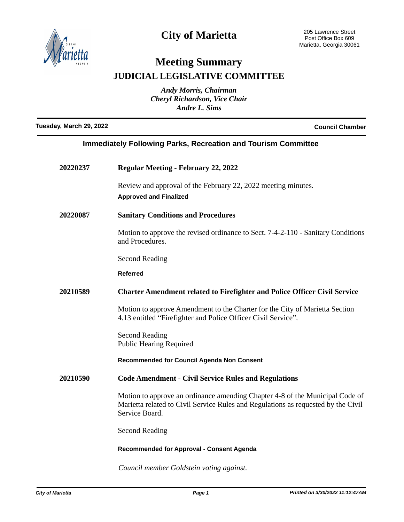

## **City of Marietta**

## **Meeting Summary JUDICIAL LEGISLATIVE COMMITTEE**

*Andy Morris, Chairman Cheryl Richardson, Vice Chair Andre L. Sims*

**Tuesday, March 29, 2022 Council Chamber**

| <b>Immediately Following Parks, Recreation and Tourism Committee</b> |                                                                                                                                                                                     |  |
|----------------------------------------------------------------------|-------------------------------------------------------------------------------------------------------------------------------------------------------------------------------------|--|
| 20220237                                                             | <b>Regular Meeting - February 22, 2022</b>                                                                                                                                          |  |
|                                                                      | Review and approval of the February 22, 2022 meeting minutes.<br><b>Approved and Finalized</b>                                                                                      |  |
| 20220087                                                             | <b>Sanitary Conditions and Procedures</b>                                                                                                                                           |  |
|                                                                      | Motion to approve the revised ordinance to Sect. 7-4-2-110 - Sanitary Conditions<br>and Procedures.                                                                                 |  |
|                                                                      | <b>Second Reading</b>                                                                                                                                                               |  |
|                                                                      | <b>Referred</b>                                                                                                                                                                     |  |
| 20210589                                                             | <b>Charter Amendment related to Firefighter and Police Officer Civil Service</b>                                                                                                    |  |
|                                                                      | Motion to approve Amendment to the Charter for the City of Marietta Section<br>4.13 entitled "Firefighter and Police Officer Civil Service".                                        |  |
|                                                                      | <b>Second Reading</b><br><b>Public Hearing Required</b>                                                                                                                             |  |
|                                                                      | Recommended for Council Agenda Non Consent                                                                                                                                          |  |
| 20210590                                                             | <b>Code Amendment - Civil Service Rules and Regulations</b>                                                                                                                         |  |
|                                                                      | Motion to approve an ordinance amending Chapter 4-8 of the Municipal Code of<br>Marietta related to Civil Service Rules and Regulations as requested by the Civil<br>Service Board. |  |
|                                                                      | <b>Second Reading</b>                                                                                                                                                               |  |
|                                                                      | <b>Recommended for Approval - Consent Agenda</b>                                                                                                                                    |  |

*Council member Goldstein voting against.*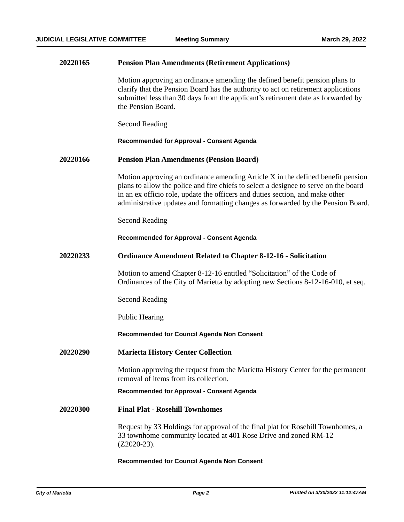| 20220165 | <b>Pension Plan Amendments (Retirement Applications)</b>                                                                                                                                                                                                                                                                                     |
|----------|----------------------------------------------------------------------------------------------------------------------------------------------------------------------------------------------------------------------------------------------------------------------------------------------------------------------------------------------|
|          | Motion approving an ordinance amending the defined benefit pension plans to<br>clarify that the Pension Board has the authority to act on retirement applications<br>submitted less than 30 days from the applicant's retirement date as forwarded by<br>the Pension Board.                                                                  |
|          | <b>Second Reading</b>                                                                                                                                                                                                                                                                                                                        |
|          | <b>Recommended for Approval - Consent Agenda</b>                                                                                                                                                                                                                                                                                             |
| 20220166 | <b>Pension Plan Amendments (Pension Board)</b>                                                                                                                                                                                                                                                                                               |
|          | Motion approving an ordinance amending Article X in the defined benefit pension<br>plans to allow the police and fire chiefs to select a designee to serve on the board<br>in an ex officio role, update the officers and duties section, and make other<br>administrative updates and formatting changes as forwarded by the Pension Board. |
|          | <b>Second Reading</b>                                                                                                                                                                                                                                                                                                                        |
|          | <b>Recommended for Approval - Consent Agenda</b>                                                                                                                                                                                                                                                                                             |
| 20220233 | <b>Ordinance Amendment Related to Chapter 8-12-16 - Solicitation</b>                                                                                                                                                                                                                                                                         |
|          | Motion to amend Chapter 8-12-16 entitled "Solicitation" of the Code of<br>Ordinances of the City of Marietta by adopting new Sections 8-12-16-010, et seq.                                                                                                                                                                                   |
|          | <b>Second Reading</b>                                                                                                                                                                                                                                                                                                                        |
|          | <b>Public Hearing</b>                                                                                                                                                                                                                                                                                                                        |
|          | Recommended for Council Agenda Non Consent                                                                                                                                                                                                                                                                                                   |
| 20220290 | <b>Marietta History Center Collection</b>                                                                                                                                                                                                                                                                                                    |
|          | Motion approving the request from the Marietta History Center for the permanent<br>removal of items from its collection.                                                                                                                                                                                                                     |
|          | <b>Recommended for Approval - Consent Agenda</b>                                                                                                                                                                                                                                                                                             |
| 20220300 | <b>Final Plat - Rosehill Townhomes</b>                                                                                                                                                                                                                                                                                                       |
|          | Request by 33 Holdings for approval of the final plat for Rosehill Townhomes, a<br>33 townhome community located at 401 Rose Drive and zoned RM-12<br>$(Z2020-23)$ .                                                                                                                                                                         |

### **Recommended for Council Agenda Non Consent**